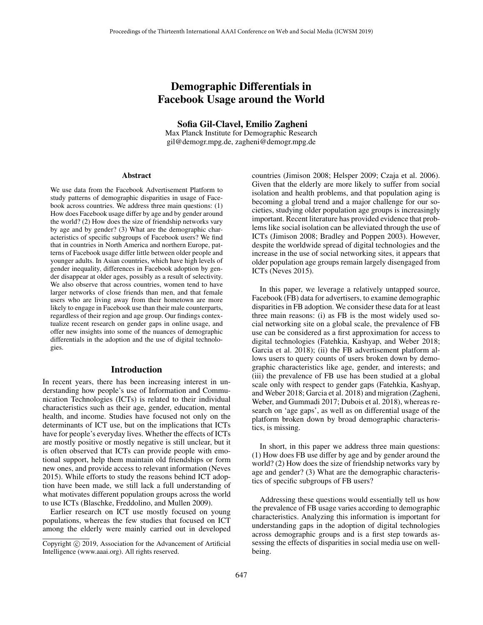# Demographic Differentials in Facebook Usage around the World

Sofia Gil-Clavel, Emilio Zagheni

Max Planck Institute for Demographic Research gil@demogr.mpg.de, zagheni@demogr.mpg.de

## Abstract

We use data from the Facebook Advertisement Platform to study patterns of demographic disparities in usage of Facebook across countries. We address three main questions: (1) How does Facebook usage differ by age and by gender around the world? (2) How does the size of friendship networks vary by age and by gender? (3) What are the demographic characteristics of specific subgroups of Facebook users? We find that in countries in North America and northern Europe, patterns of Facebook usage differ little between older people and younger adults. In Asian countries, which have high levels of gender inequality, differences in Facebook adoption by gender disappear at older ages, possibly as a result of selectivity. We also observe that across countries, women tend to have larger networks of close friends than men, and that female users who are living away from their hometown are more likely to engage in Facebook use than their male counterparts, regardless of their region and age group. Our findings contextualize recent research on gender gaps in online usage, and offer new insights into some of the nuances of demographic differentials in the adoption and the use of digital technologies.

#### Introduction

In recent years, there has been increasing interest in understanding how people's use of Information and Communication Technologies (ICTs) is related to their individual characteristics such as their age, gender, education, mental health, and income. Studies have focused not only on the determinants of ICT use, but on the implications that ICTs have for people's everyday lives. Whether the effects of ICTs are mostly positive or mostly negative is still unclear, but it is often observed that ICTs can provide people with emotional support, help them maintain old friendships or form new ones, and provide access to relevant information (Neves 2015). While efforts to study the reasons behind ICT adoption have been made, we still lack a full understanding of what motivates different population groups across the world to use ICTs (Blaschke, Freddolino, and Mullen 2009).

Earlier research on ICT use mostly focused on young populations, whereas the few studies that focused on ICT among the elderly were mainly carried out in developed countries (Jimison 2008; Helsper 2009; Czaja et al. 2006). Given that the elderly are more likely to suffer from social isolation and health problems, and that population aging is becoming a global trend and a major challenge for our societies, studying older population age groups is increasingly important. Recent literature has provided evidence that problems like social isolation can be alleviated through the use of ICTs (Jimison 2008; Bradley and Poppen 2003). However, despite the worldwide spread of digital technologies and the increase in the use of social networking sites, it appears that older population age groups remain largely disengaged from ICTs (Neves 2015).

In this paper, we leverage a relatively untapped source, Facebook (FB) data for advertisers, to examine demographic disparities in FB adoption. We consider these data for at least three main reasons: (i) as FB is the most widely used social networking site on a global scale, the prevalence of FB use can be considered as a first approximation for access to digital technologies (Fatehkia, Kashyap, and Weber 2018; Garcia et al. 2018); (ii) the FB advertisement platform allows users to query counts of users broken down by demographic characteristics like age, gender, and interests; and (iii) the prevalence of FB use has been studied at a global scale only with respect to gender gaps (Fatehkia, Kashyap, and Weber 2018; Garcia et al. 2018) and migration (Zagheni, Weber, and Gummadi 2017; Dubois et al. 2018), whereas research on 'age gaps', as well as on differential usage of the platform broken down by broad demographic characteristics, is missing.

In short, in this paper we address three main questions: (1) How does FB use differ by age and by gender around the world? (2) How does the size of friendship networks vary by age and gender? (3) What are the demographic characteristics of specific subgroups of FB users?

Addressing these questions would essentially tell us how the prevalence of FB usage varies according to demographic characteristics. Analyzing this information is important for understanding gaps in the adoption of digital technologies across demographic groups and is a first step towards assessing the effects of disparities in social media use on wellbeing.

Copyright (c) 2019, Association for the Advancement of Artificial Intelligence (www.aaai.org). All rights reserved.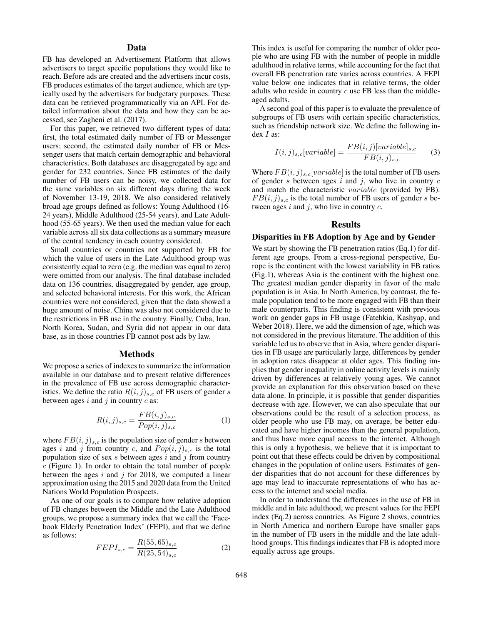# Data

FB has developed an Advertisement Platform that allows advertisers to target specific populations they would like to reach. Before ads are created and the advertisers incur costs, FB produces estimates of the target audience, which are typically used by the advertisers for budgetary purposes. These data can be retrieved programmatically via an API. For detailed information about the data and how they can be accessed, see Zagheni et al. (2017).

For this paper, we retrieved two different types of data: first, the total estimated daily number of FB or Messenger users; second, the estimated daily number of FB or Messenger users that match certain demographic and behavioral characteristics. Both databases are disaggregated by age and gender for 232 countries. Since FB estimates of the daily number of FB users can be noisy, we collected data for the same variables on six different days during the week of November 13-19, 2018. We also considered relatively broad age groups defined as follows: Young Adulthood (16- 24 years), Middle Adulthood (25-54 years), and Late Adulthood (55-65 years). We then used the median value for each variable across all six data collections as a summary measure of the central tendency in each country considered.

Small countries or countries not supported by FB for which the value of users in the Late Adulthood group was consistently equal to zero (e.g. the median was equal to zero) were omitted from our analysis. The final database included data on 136 countries, disaggregated by gender, age group, and selected behavioral interests. For this work, the African countries were not considered, given that the data showed a huge amount of noise. China was also not considered due to the restrictions in FB use in the country. Finally, Cuba, Iran, North Korea, Sudan, and Syria did not appear in our data base, as in those countries FB cannot post ads by law.

#### Methods

We propose a series of indexes to summarize the information available in our database and to present relative differences in the prevalence of FB use across demographic characteristics. We define the ratio  $R(i, j)_{s,c}$  of FB users of gender s between ages  $i$  and  $j$  in country  $c$  as:

$$
R(i,j)_{s,c} = \frac{FB(i,j)_{s,c}}{Pop(i,j)_{s,c}}\tag{1}
$$

where  $FB(i, j)_{s,c}$  is the population size of gender s between ages i and j from country c, and  $Pop(i, j)_{s,c}$  is the total population size of sex  $s$  between ages  $i$  and  $j$  from country  $c$  (Figure 1). In order to obtain the total number of people between the ages  $i$  and  $j$  for 2018, we computed a linear approximation using the 2015 and 2020 data from the United Nations World Population Prospects.

As one of our goals is to compare how relative adoption of FB changes between the Middle and the Late Adulthood groups, we propose a summary index that we call the 'Facebook Elderly Penetration Index' (FEPI), and that we define as follows:  $R(FF, \alpha F)$ 

$$
FEPI_{s,c} = \frac{R(55, 65)_{s,c}}{R(25, 54)_{s,c}}\tag{2}
$$

This index is useful for comparing the number of older people who are using FB with the number of people in middle adulthood in relative terms, while accounting for the fact that overall FB penetration rate varies across countries. A FEPI value below one indicates that in relative terms, the older adults who reside in country  $c$  use FB less than the middleaged adults.

A second goal of this paper is to evaluate the prevalence of subgroups of FB users with certain specific characteristics, such as friendship network size. We define the following in- $\text{dex } I \text{ as:}$ 

$$
I(i,j)_{s,c}[variable] = \frac{FB(i,j)[variable]_{s,c}}{FB(i,j)_{s,c}} \tag{3}
$$

Where  $FB(i, j)_{s,c}[variable]$  is the total number of FB users of gender s between ages i and j, who live in country  $c$ and match the characteristic variable (provided by FB).  $FB(i, j)_{s,c}$  is the total number of FB users of gender s between ages  $i$  and  $j$ , who live in country  $c$ .

## Results

#### Disparities in FB Adoption by Age and by Gender

We start by showing the FB penetration ratios (Eq.1) for different age groups. From a cross-regional perspective, Europe is the continent with the lowest variability in FB ratios (Fig.1), whereas Asia is the continent with the highest one. The greatest median gender disparity in favor of the male population is in Asia. In North America, by contrast, the female population tend to be more engaged with FB than their male counterparts. This finding is consistent with previous work on gender gaps in FB usage (Fatehkia, Kashyap, and Weber 2018). Here, we add the dimension of age, which was not considered in the previous literature. The addition of this variable led us to observe that in Asia, where gender disparities in FB usage are particularly large, differences by gender in adoption rates disappear at older ages. This finding implies that gender inequality in online activity levels is mainly driven by differences at relatively young ages. We cannot provide an explanation for this observation based on these data alone. In principle, it is possible that gender disparities decrease with age. However, we can also speculate that our observations could be the result of a selection process, as older people who use FB may, on average, be better educated and have higher incomes than the general population, and thus have more equal access to the internet. Although this is only a hypothesis, we believe that it is important to point out that these effects could be driven by compositional changes in the population of online users. Estimates of gender disparities that do not account for these differences by age may lead to inaccurate representations of who has access to the internet and social media.

In order to understand the differences in the use of FB in middle and in late adulthood, we present values for the FEPI index (Eq.2) across countries. As Figure 2 shows, countries in North America and northern Europe have smaller gaps in the number of FB users in the middle and the late adulthood groups. This findings indicates that FB is adopted more equally across age groups.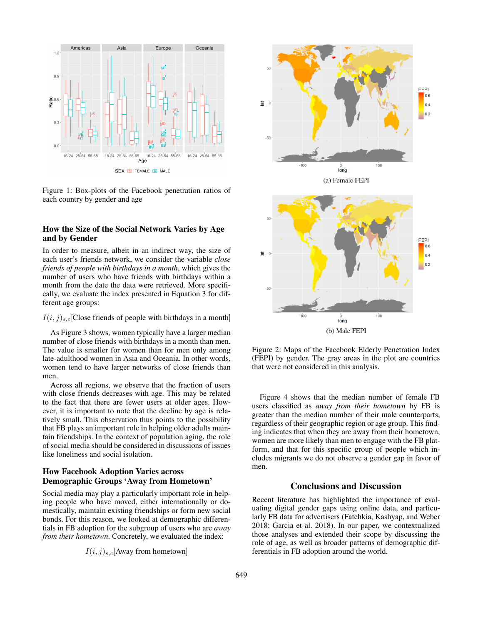

Figure 1: Box-plots of the Facebook penetration ratios of each country by gender and age

# How the Size of the Social Network Varies by Age and by Gender

In order to measure, albeit in an indirect way, the size of each user's friends network, we consider the variable *close friends of people with birthdays in a month*, which gives the number of users who have friends with birthdays within a month from the date the data were retrieved. More specifically, we evaluate the index presented in Equation 3 for different age groups:

 $I(i, j)_{s,c}$  Close friends of people with birthdays in a month

As Figure 3 shows, women typically have a larger median number of close friends with birthdays in a month than men. The value is smaller for women than for men only among late-adulthood women in Asia and Oceania. In other words, women tend to have larger networks of close friends than men.

Across all regions, we observe that the fraction of users with close friends decreases with age. This may be related to the fact that there are fewer users at older ages. However, it is important to note that the decline by age is relatively small. This observation thus points to the possibility that FB plays an important role in helping older adults maintain friendships. In the context of population aging, the role of social media should be considered in discussions of issues like loneliness and social isolation.

## How Facebook Adoption Varies across Demographic Groups 'Away from Hometown'

Social media may play a particularly important role in helping people who have moved, either internationally or domestically, maintain existing friendships or form new social bonds. For this reason, we looked at demographic differentials in FB adoption for the subgroup of users who are *away from their hometown*. Concretely, we evaluated the index:

 $I(i, j)_{s,c}$ [Away from hometown]



Figure 2: Maps of the Facebook Elderly Penetration Index (FEPI) by gender. The gray areas in the plot are countries that were not considered in this analysis.

Figure 4 shows that the median number of female FB users classified as *away from their hometown* by FB is greater than the median number of their male counterparts, regardless of their geographic region or age group. This finding indicates that when they are away from their hometown, women are more likely than men to engage with the FB platform, and that for this specific group of people which includes migrants we do not observe a gender gap in favor of men.

# Conclusions and Discussion

Recent literature has highlighted the importance of evaluating digital gender gaps using online data, and particularly FB data for advertisers (Fatehkia, Kashyap, and Weber 2018; Garcia et al. 2018). In our paper, we contextualized those analyses and extended their scope by discussing the role of age, as well as broader patterns of demographic differentials in FB adoption around the world.